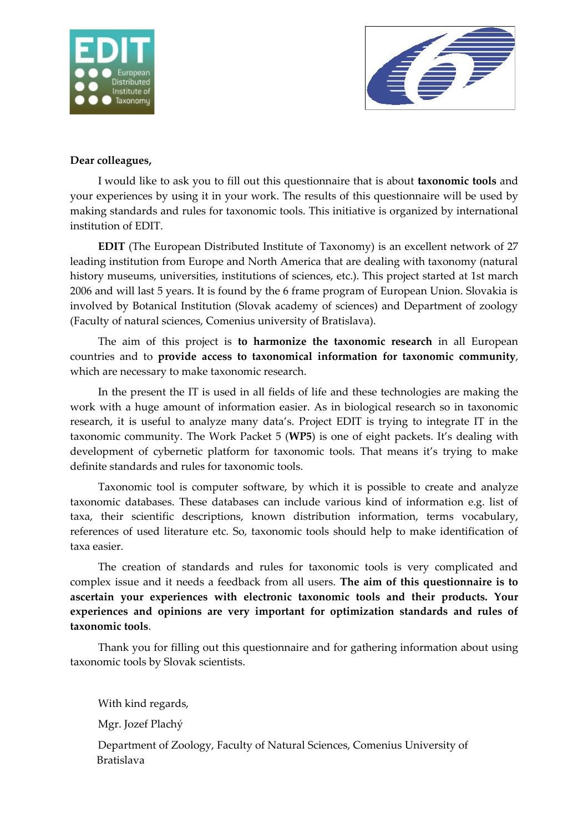



## **Dear colleagues,**

I would like to ask you to fill out this questionnaire that is about **taxonomic tools** and your experiences by using it in your work. The results of this questionnaire will be used by making standards and rules for taxonomic tools. This initiative is organized by international institution of EDIT.

**EDIT** (The European Distributed Institute of Taxonomy) is an excellent network of 27 leading institution from Europe and North America that are dealing with taxonomy (natural history museums, universities, institutions of sciences, etc.). This project started at 1st march 2006 and will last 5 years. It is found by the 6 frame program of European Union. Slovakia is involved by Botanical Institution (Slovak academy of sciences) and Department of zoology (Faculty of natural sciences, Comenius university of Bratislava).

The aim of this project is **to harmonize the taxonomic research** in all European countries and to **provide access to taxonomical information for taxonomic community**, which are necessary to make taxonomic research.

In the present the IT is used in all fields of life and these technologies are making the work with a huge amount of information easier. As in biological research so in taxonomic research, it is useful to analyze many data's. Project EDIT is trying to integrate IT in the taxonomic community. The Work Packet 5 (**WP5**) is one of eight packets. It's dealing with development of cybernetic platform for taxonomic tools. That means it's trying to make definite standards and rules for taxonomic tools.

Taxonomic tool is computer software, by which it is possible to create and analyze taxonomic databases. These databases can include various kind of information e.g. list of taxa, their scientific descriptions, known distribution information, terms vocabulary, references of used literature etc. So, taxonomic tools should help to make identification of taxa easier.

The creation of standards and rules for taxonomic tools is very complicated and complex issue and it needs a feedback from all users. **The aim of this questionnaire is to ascertain your experiences with electronic taxonomic tools and their products. Your experiences and opinions are very important for optimization standards and rules of taxonomic tools**.

Thank you for filling out this questionnaire and for gathering information about using taxonomic tools by Slovak scientists.

With kind regards,

Mgr. Jozef Plachý

Department of Zoology, Faculty of Natural Sciences, Comenius University of Bratislava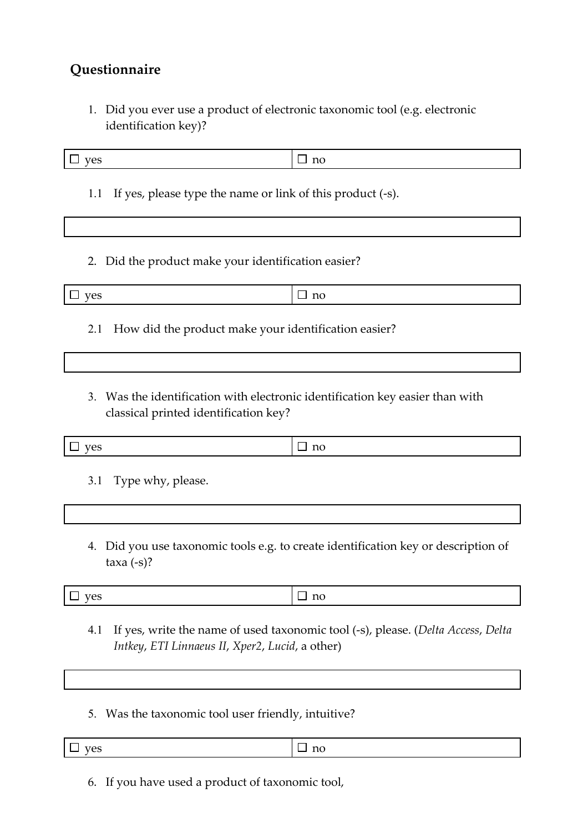## **Questionnaire**

1. Did you ever use a product of electronic taxonomic tool (e.g. electronic identification key)?

| yes                                                                                                                    | $\Box$ no |  |
|------------------------------------------------------------------------------------------------------------------------|-----------|--|
| If yes, please type the name or link of this product (-s).<br>1.1                                                      |           |  |
|                                                                                                                        |           |  |
| 2. Did the product make your identification easier?                                                                    |           |  |
| yes                                                                                                                    | $\Box$ no |  |
| How did the product make your identification easier?<br>2.1                                                            |           |  |
|                                                                                                                        |           |  |
| 3. Was the identification with electronic identification key easier than with<br>classical printed identification key? |           |  |
| yes                                                                                                                    | $\Box$ no |  |
| Type why, please.<br>3.1                                                                                               |           |  |
|                                                                                                                        |           |  |

4. Did you use taxonomic tools e.g. to create identification key or description of taxa (-s)?

 $\Box$  yes  $|\Box$  no

- 4.1 If yes, write the name of used taxonomic tool (-s), please. (*Delta Access*, *Delta Intkey*, *ETI Linnaeus II*, *Xper2*, *Lucid*, a other)
- 5. Was the taxonomic tool user friendly, intuitive?

|  | $-$<br>$\mathbf{V}$ $\mathbf{O}$<br>ີ | $\overline{11}$ |
|--|---------------------------------------|-----------------|
|--|---------------------------------------|-----------------|

6. If you have used a product of taxonomic tool,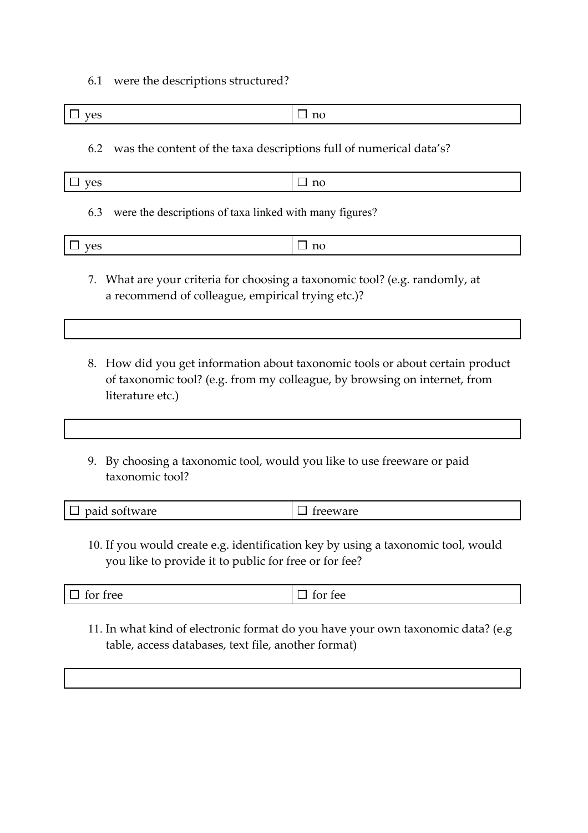6.1 were the descriptions structured?

| ---<br>$\tilde{}$ | --- |
|-------------------|-----|

6.2 was the content of the taxa descriptions full of numerical data's?

| ves<br>_ | no |
|----------|----|
|----------|----|

6.3 were the descriptions of taxa linked with many figures?

| $V\cap S$<br>ັ | no<br>_<br>_ |
|----------------|--------------|
|----------------|--------------|

- 7. What are your criteria for choosing a taxonomic tool? (e.g. randomly, at a recommend of colleague, empirical trying etc.)?
- 8. How did you get information about taxonomic tools or about certain product of taxonomic tool? (e.g. from my colleague, by browsing on internet, from literature etc.)
- 9. By choosing a taxonomic tool, would you like to use freeware or paid taxonomic tool?

| $\Box$ paid software | $\Box$ freeware |
|----------------------|-----------------|
|----------------------|-----------------|

10. If you would create e.g. identification key by using a taxonomic tool, would you like to provide it to public for free or for fee?

 $\Box$  for free  $\Box$  for fee

11. In what kind of electronic format do you have your own taxonomic data? (e.g table, access databases, text file, another format)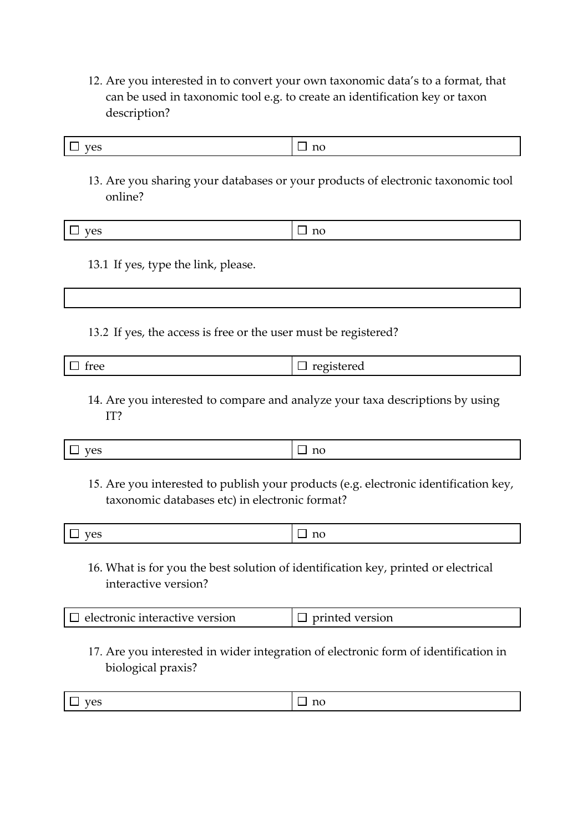12. Are you interested in to convert your own taxonomic data's to a format, that can be used in taxonomic tool e.g. to create an identification key or taxon description?

| $V \rho c$<br>⊔ no<br>┕<br>ັບ |  |  |  |
|-------------------------------|--|--|--|
|-------------------------------|--|--|--|

13. Are you sharing your databases or your products of electronic taxonomic tool online?

|  | .<br>$ -$ | . |
|--|-----------|---|
|--|-----------|---|

13.1 If yes, type the link, please.

13.2 If yes, the access is free or the user must be registered?

| -rop<br><b>TTCC</b><br>___ | __<br>$\sim$ 14 $\sim$ $\sim$<br>$\sim$<br>-<br>__ |  |
|----------------------------|----------------------------------------------------|--|
|----------------------------|----------------------------------------------------|--|

14. Are you interested to compare and analyze your taxa descriptions by using IT?

| <b>Contract Contract Contract Contract Contract</b> |
|-----------------------------------------------------|
|                                                     |

15. Are you interested to publish your products (e.g. electronic identification key, taxonomic databases etc) in electronic format?

| - 1 |          |
|-----|----------|
| TPC | $-1$     |
| ັ   | $\bf{1}$ |

16. What is for you the best solution of identification key, printed or electrical interactive version?

| $\Box$ electronic interactive version | printed version |
|---------------------------------------|-----------------|
|---------------------------------------|-----------------|

17. Are you interested in wider integration of electronic form of identification in biological praxis?

|--|